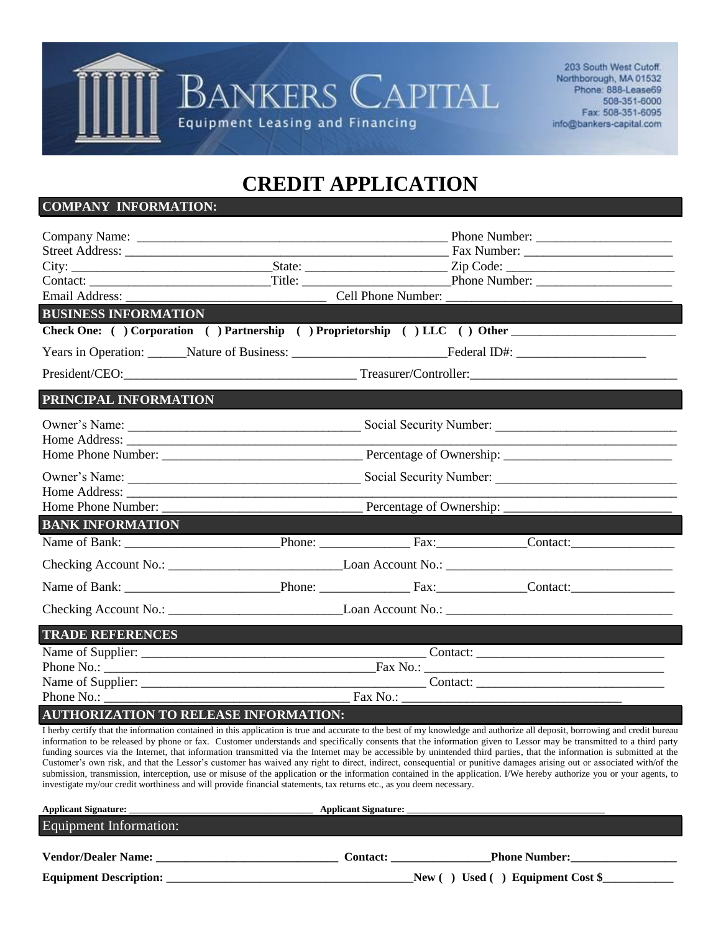

203 South West Cutoff. Northborough, MA 01532 Phone: 888-Lease69 508-351-6000 Fax: 508-351-6095 info@bankers-capital.com

## **CREDIT APPLICATION**

## **COMPANY INFORMATION:**

|                             |                                                                                 |  | Phone Number: |  |  |
|-----------------------------|---------------------------------------------------------------------------------|--|---------------|--|--|
|                             |                                                                                 |  |               |  |  |
|                             |                                                                                 |  |               |  |  |
|                             |                                                                                 |  |               |  |  |
|                             |                                                                                 |  |               |  |  |
| <b>BUSINESS INFORMATION</b> |                                                                                 |  |               |  |  |
|                             | Check One: ( ) Corporation ( ) Partnership ( ) Proprietorship ( ) LLC ( ) Other |  |               |  |  |
|                             |                                                                                 |  |               |  |  |
|                             | President/CEO: Treasurer/Controller:                                            |  |               |  |  |
| PRINCIPAL INFORMATION       |                                                                                 |  |               |  |  |
|                             |                                                                                 |  |               |  |  |
|                             |                                                                                 |  |               |  |  |
|                             |                                                                                 |  |               |  |  |
|                             |                                                                                 |  |               |  |  |
|                             |                                                                                 |  |               |  |  |
|                             |                                                                                 |  |               |  |  |
| <b>BANK INFORMATION</b>     |                                                                                 |  |               |  |  |
|                             |                                                                                 |  |               |  |  |
|                             |                                                                                 |  |               |  |  |
|                             |                                                                                 |  |               |  |  |
|                             |                                                                                 |  |               |  |  |
| <b>TRADE REFERENCES</b>     |                                                                                 |  |               |  |  |
|                             |                                                                                 |  |               |  |  |
|                             |                                                                                 |  |               |  |  |
|                             |                                                                                 |  |               |  |  |
| Phone No.:                  |                                                                                 |  |               |  |  |
|                             | <b>AUTHORIZATION TO RELEASE INFORMATION:</b>                                    |  |               |  |  |

I herby certify that the information contained in this application is true and accurate to the best of my knowledge and authorize all deposit, borrowing and credit bureau information to be released by phone or fax. Customer understands and specifically consents that the information given to Lessor may be transmitted to a third party funding sources via the Internet, that information transmitted via the Internet may be accessible by unintended third parties, that the information is submitted at the Customer's own risk, and that the Lessor's customer has waived any right to direct, indirect, consequential or punitive damages arising out or associated with/of the submission, transmission, interception, use or misuse of the application or the information contained in the application. I/We hereby authorize you or your agents, to investigate my/our credit worthiness and will provide financial statements, tax returns etc., as you deem necessary.

| <b>Applicant Signature:</b>   | <b>Applicant Signature:</b> |                                             |
|-------------------------------|-----------------------------|---------------------------------------------|
| Equipment Information:        |                             |                                             |
| <b>Vendor/Dealer Name:</b>    | <b>Contact:</b>             | <b>Phone Number:</b>                        |
| <b>Equipment Description:</b> |                             | <b>Equipment Cost \$</b><br>New (<br>Used ( |